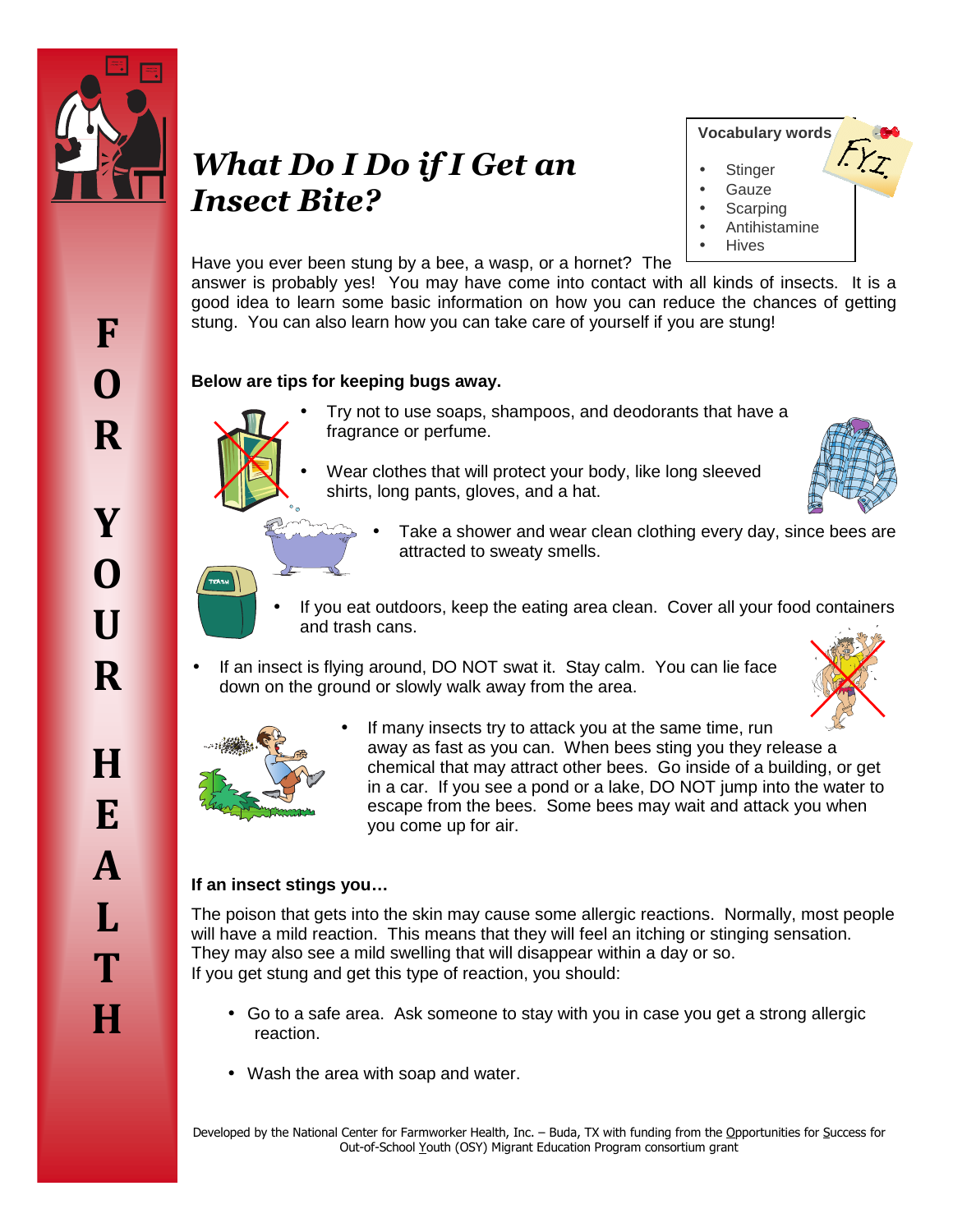

# *What Do I Do if I Get an Insect Bite?*



Have you ever been stung by a bee, a wasp, or a hornet? The

answer is probably yes! You may have come into contact with all kinds of insects. It is a good idea to learn some basic information on how you can reduce the chances of getting stung. You can also learn how you can take care of yourself if you are stung!

### **Below are tips for keeping bugs away.**



- Try not to use soaps, shampoos, and deodorants that have a fragrance or perfume.
- Wear clothes that will protect your body, like long sleeved shirts, long pants, gloves, and a hat.



- Take a shower and wear clean clothing every day, since bees are attracted to sweaty smells.
- If you eat outdoors, keep the eating area clean. Cover all your food containers and trash cans.
- If an insect is flying around, DO NOT swat it. Stay calm. You can lie face down on the ground or slowly walk away from the area.





If many insects try to attack you at the same time, run away as fast as you can. When bees sting you they release a chemical that may attract other bees. Go inside of a building, or get in a car. If you see a pond or a lake, DO NOT jump into the water to escape from the bees. Some bees may wait and attack you when you come up for air.

## **If an insect stings you…**

The poison that gets into the skin may cause some allergic reactions. Normally, most people will have a mild reaction. This means that they will feel an itching or stinging sensation. They may also see a mild swelling that will disappear within a day or so. If you get stung and get this type of reaction, you should:

- Go to a safe area. Ask someone to stay with you in case you get a strong allergic reaction.
- Wash the area with soap and water.

Developed by the National Center for Farmworker Health, Inc. – Buda, TX with funding from the Opportunities for Success for Out-of-School Youth (OSY) Migrant Education Program consortium grant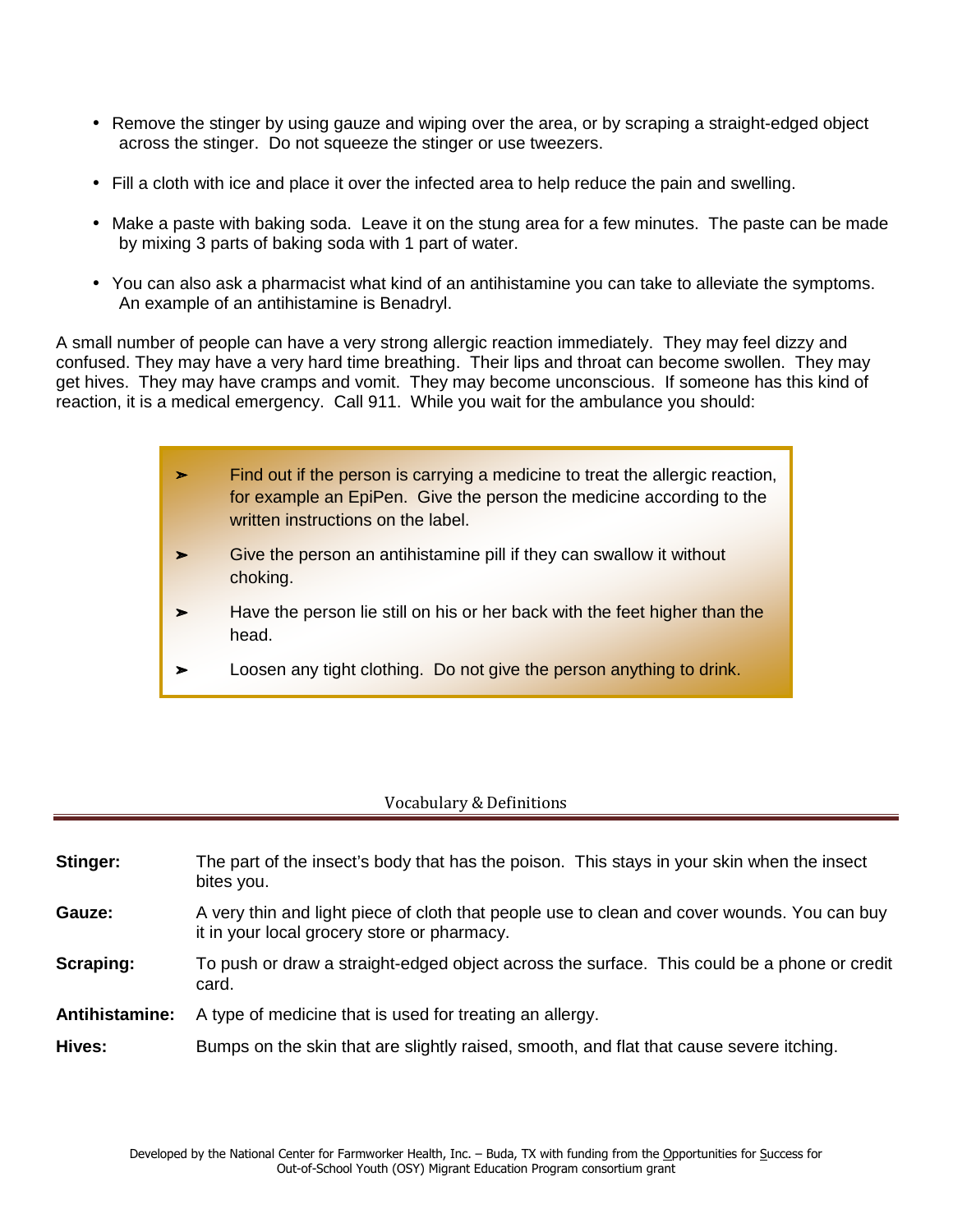- Remove the stinger by using gauze and wiping over the area, or by scraping a straight-edged object across the stinger. Do not squeeze the stinger or use tweezers.
- Fill a cloth with ice and place it over the infected area to help reduce the pain and swelling.
- Make a paste with baking soda. Leave it on the stung area for a few minutes. The paste can be made by mixing 3 parts of baking soda with 1 part of water.
- You can also ask a pharmacist what kind of an antihistamine you can take to alleviate the symptoms. An example of an antihistamine is Benadryl.

A small number of people can have a very strong allergic reaction immediately. They may feel dizzy and confused. They may have a very hard time breathing. Their lips and throat can become swollen. They may get hives. They may have cramps and vomit. They may become unconscious. If someone has this kind of reaction, it is a medical emergency. Call 911. While you wait for the ambulance you should:

| ⋗ | Find out if the person is carrying a medicine to treat the allergic reaction,<br>for example an EpiPen. Give the person the medicine according to the<br>written instructions on the label. |
|---|---------------------------------------------------------------------------------------------------------------------------------------------------------------------------------------------|
| ➤ | Give the person an antihistamine pill if they can swallow it without<br>choking.                                                                                                            |
|   | Have the person lie still on his or her back with the feet higher than the<br>head.                                                                                                         |
| ➤ | Loosen any tight clothing. Do not give the person anything to drink.                                                                                                                        |

#### Vocabulary & Definitions

| Stinger:              | The part of the insect's body that has the poison. This stays in your skin when the insect<br>bites you.                                   |
|-----------------------|--------------------------------------------------------------------------------------------------------------------------------------------|
| Gauze:                | A very thin and light piece of cloth that people use to clean and cover wounds. You can buy<br>it in your local grocery store or pharmacy. |
| Scraping:             | To push or draw a straight-edged object across the surface. This could be a phone or credit<br>card.                                       |
| <b>Antihistamine:</b> | A type of medicine that is used for treating an allergy.                                                                                   |
| Hives:                | Bumps on the skin that are slightly raised, smooth, and flat that cause severe itching.                                                    |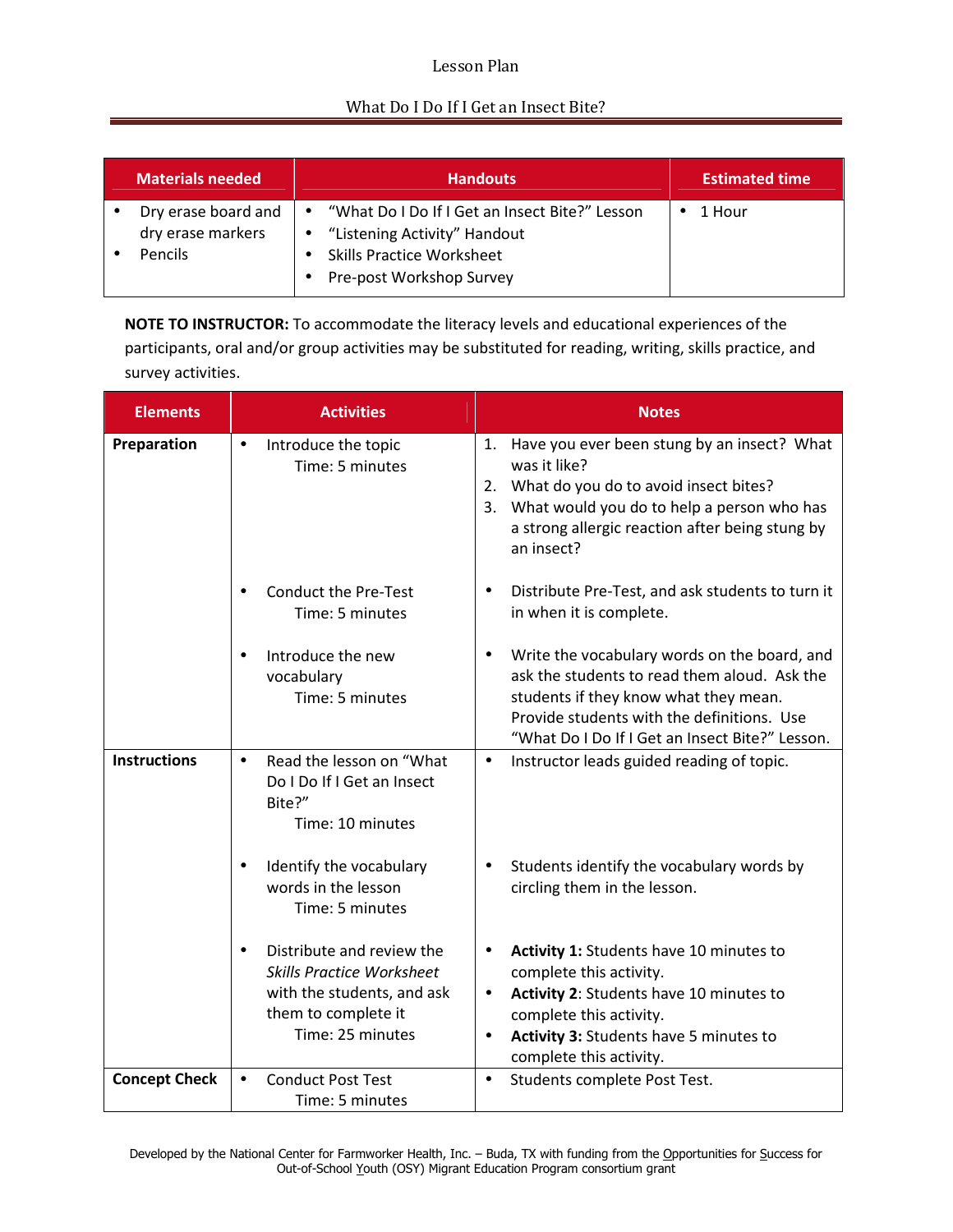#### Lesson Plan

#### What Do I Do If I Get an Insect Bite?

| Materials needed                                           | <b>Handouts</b>                                                                                                                                                          | <b>Estimated time</b> |
|------------------------------------------------------------|--------------------------------------------------------------------------------------------------------------------------------------------------------------------------|-----------------------|
| Dry erase board and<br>dry erase markers<br><b>Pencils</b> | "What Do I Do If I Get an Insect Bite?" Lesson<br>$\bullet$<br>"Listening Activity" Handout<br>$\bullet$<br><b>Skills Practice Worksheet</b><br>Pre-post Workshop Survey | 1 Hour                |

**NOTE TO INSTRUCTOR:** To accommodate the literacy levels and educational experiences of the participants, oral and/or group activities may be substituted for reading, writing, skills practice, and survey activities.

| <b>Elements</b>      | <b>Activities</b>                                                                                                                                   | <b>Notes</b>                                                                                                                                                                                                                                         |
|----------------------|-----------------------------------------------------------------------------------------------------------------------------------------------------|------------------------------------------------------------------------------------------------------------------------------------------------------------------------------------------------------------------------------------------------------|
| Preparation          | Introduce the topic<br>$\bullet$<br>Time: 5 minutes                                                                                                 | 1. Have you ever been stung by an insect? What<br>was it like?<br>2. What do you do to avoid insect bites?<br>3. What would you do to help a person who has<br>a strong allergic reaction after being stung by<br>an insect?                         |
|                      | <b>Conduct the Pre-Test</b><br>Time: 5 minutes                                                                                                      | Distribute Pre-Test, and ask students to turn it<br>$\bullet$<br>in when it is complete.                                                                                                                                                             |
|                      | Introduce the new<br>vocabulary<br>Time: 5 minutes                                                                                                  | Write the vocabulary words on the board, and<br>ask the students to read them aloud. Ask the<br>students if they know what they mean.<br>Provide students with the definitions. Use<br>"What Do I Do If I Get an Insect Bite?" Lesson.               |
| <b>Instructions</b>  | Read the lesson on "What<br>$\bullet$<br>Do I Do If I Get an Insect<br>Bite?"<br>Time: 10 minutes                                                   | Instructor leads guided reading of topic.<br>$\bullet$                                                                                                                                                                                               |
|                      | Identify the vocabulary<br>words in the lesson<br>Time: 5 minutes                                                                                   | Students identify the vocabulary words by<br>circling them in the lesson.                                                                                                                                                                            |
|                      | Distribute and review the<br>$\bullet$<br><b>Skills Practice Worksheet</b><br>with the students, and ask<br>them to complete it<br>Time: 25 minutes | Activity 1: Students have 10 minutes to<br>$\bullet$<br>complete this activity.<br>Activity 2: Students have 10 minutes to<br>$\bullet$<br>complete this activity.<br>Activity 3: Students have 5 minutes to<br>$\bullet$<br>complete this activity. |
| <b>Concept Check</b> | <b>Conduct Post Test</b><br>$\bullet$<br>Time: 5 minutes                                                                                            | Students complete Post Test.<br>$\bullet$                                                                                                                                                                                                            |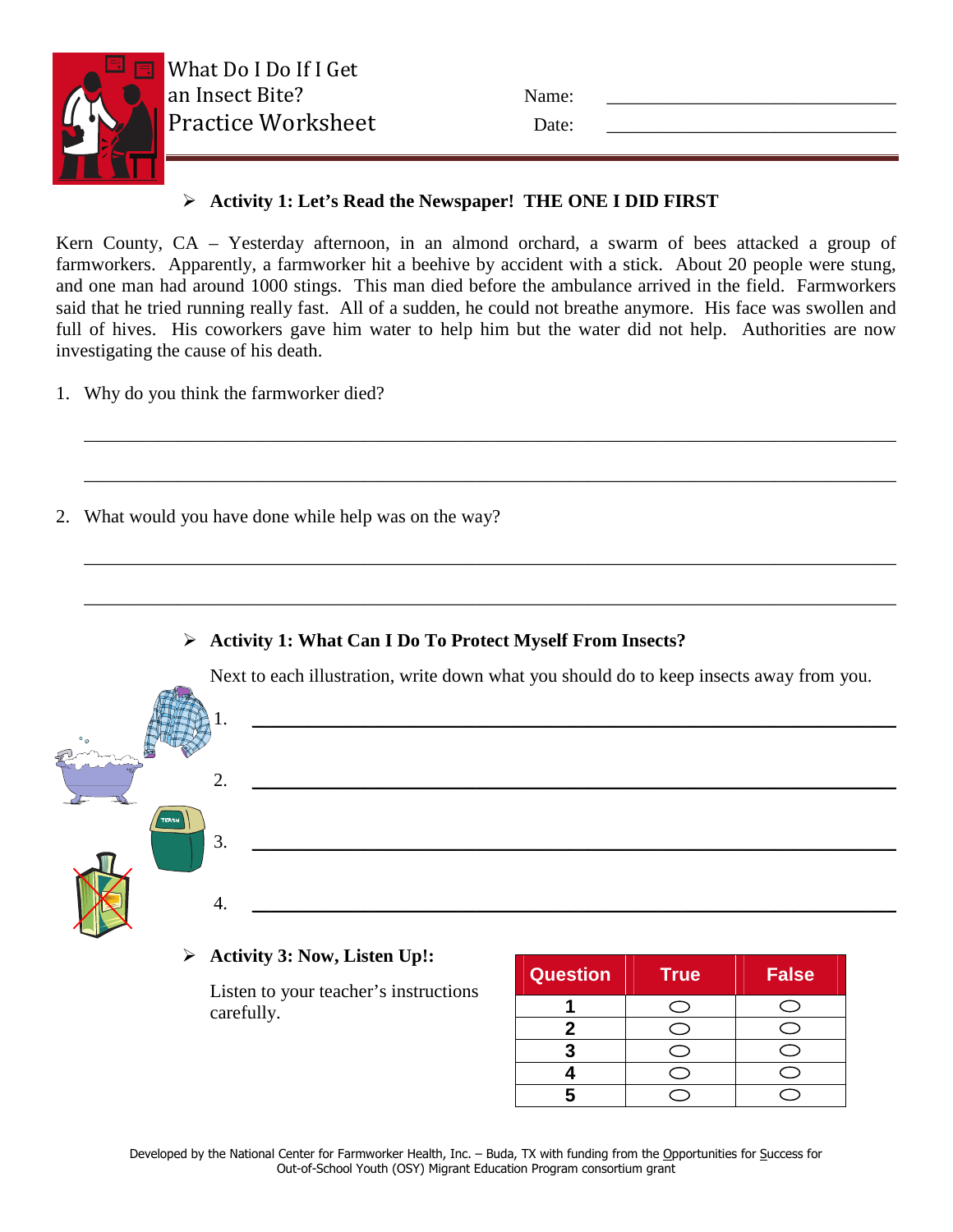

| Name: |  |
|-------|--|
| Date: |  |

# **Activity 1: Let's Read the Newspaper! THE ONE I DID FIRST**

Kern County, CA – Yesterday afternoon, in an almond orchard, a swarm of bees attacked a group of farmworkers. Apparently, a farmworker hit a beehive by accident with a stick. About 20 people were stung, and one man had around 1000 stings. This man died before the ambulance arrived in the field. Farmworkers said that he tried running really fast. All of a sudden, he could not breathe anymore. His face was swollen and full of hives. His coworkers gave him water to help him but the water did not help. Authorities are now investigating the cause of his death.

\_\_\_\_\_\_\_\_\_\_\_\_\_\_\_\_\_\_\_\_\_\_\_\_\_\_\_\_\_\_\_\_\_\_\_\_\_\_\_\_\_\_\_\_\_\_\_\_\_\_\_\_\_\_\_\_\_\_\_\_\_\_\_\_\_\_\_\_\_\_\_\_\_\_\_\_\_\_\_\_\_\_\_\_\_\_\_

\_\_\_\_\_\_\_\_\_\_\_\_\_\_\_\_\_\_\_\_\_\_\_\_\_\_\_\_\_\_\_\_\_\_\_\_\_\_\_\_\_\_\_\_\_\_\_\_\_\_\_\_\_\_\_\_\_\_\_\_\_\_\_\_\_\_\_\_\_\_\_\_\_\_\_\_\_\_\_\_\_\_\_\_\_\_\_

\_\_\_\_\_\_\_\_\_\_\_\_\_\_\_\_\_\_\_\_\_\_\_\_\_\_\_\_\_\_\_\_\_\_\_\_\_\_\_\_\_\_\_\_\_\_\_\_\_\_\_\_\_\_\_\_\_\_\_\_\_\_\_\_\_\_\_\_\_\_\_\_\_\_\_\_\_\_\_\_\_\_\_\_\_\_\_

\_\_\_\_\_\_\_\_\_\_\_\_\_\_\_\_\_\_\_\_\_\_\_\_\_\_\_\_\_\_\_\_\_\_\_\_\_\_\_\_\_\_\_\_\_\_\_\_\_\_\_\_\_\_\_\_\_\_\_\_\_\_\_\_\_\_\_\_\_\_\_\_\_\_\_\_\_\_\_\_\_\_\_\_\_\_\_

- 1. Why do you think the farmworker died?
- 2. What would you have done while help was on the way?

## **Activity 1: What Can I Do To Protect Myself From Insects?**

Next to each illustration, write down what you should do to keep insects away from you.





# **Activity 3: Now, Listen Up!:**

Listen to your teacher's instructions carefully.

| <b>Question</b> | <b>True</b> | <b>False</b> |
|-----------------|-------------|--------------|
|                 |             |              |
|                 |             |              |
|                 |             |              |
|                 |             |              |
|                 |             |              |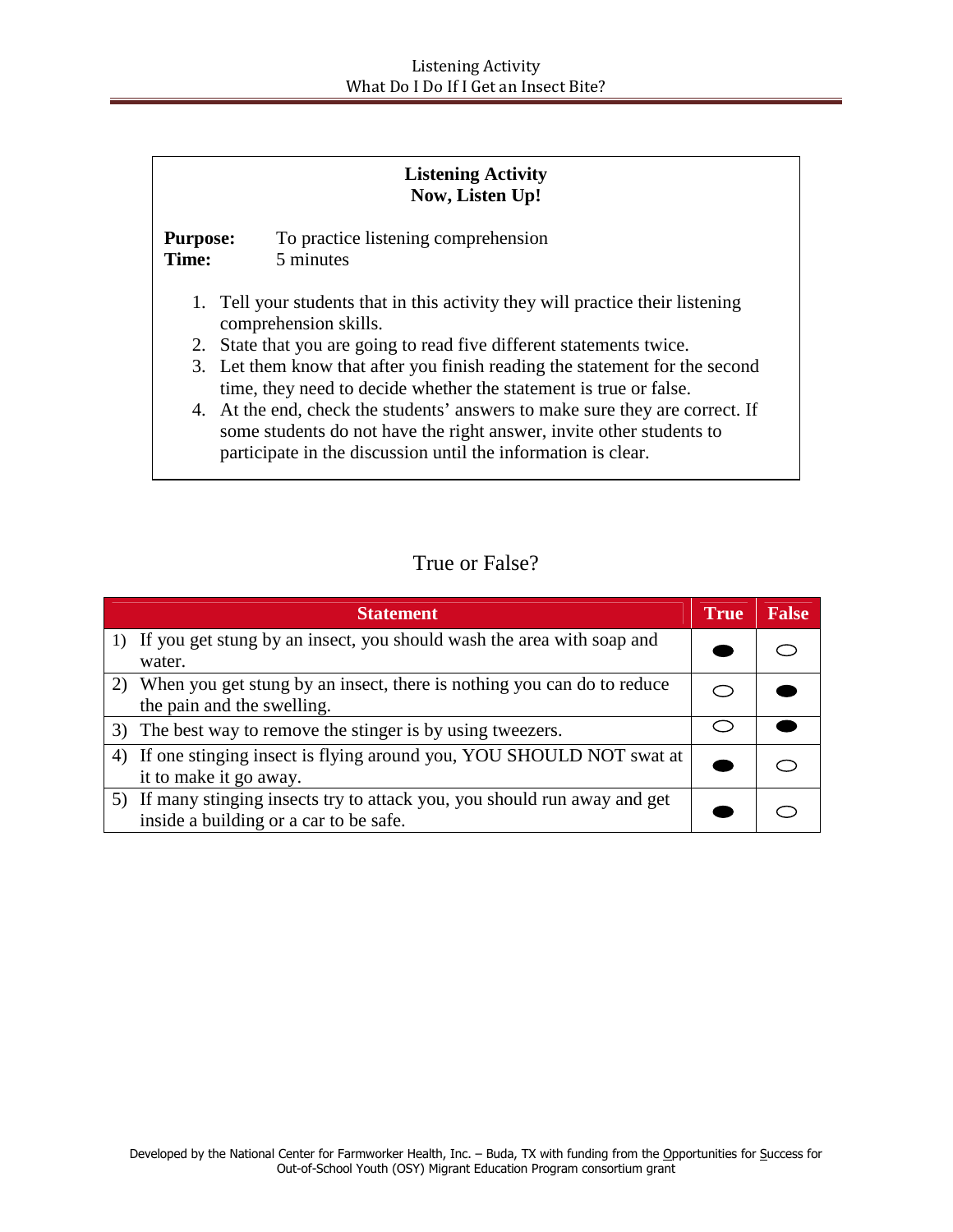|                                                                                                                                                                                                                       | <b>Listening Activity</b><br>Now, Listen Up!                                                                                                     |  |  |  |
|-----------------------------------------------------------------------------------------------------------------------------------------------------------------------------------------------------------------------|--------------------------------------------------------------------------------------------------------------------------------------------------|--|--|--|
| <b>Purpose:</b><br>Time:                                                                                                                                                                                              | To practice listening comprehension<br>5 minutes                                                                                                 |  |  |  |
|                                                                                                                                                                                                                       | 1. Tell your students that in this activity they will practice their listening<br>comprehension skills.                                          |  |  |  |
|                                                                                                                                                                                                                       | 2. State that you are going to read five different statements twice.                                                                             |  |  |  |
|                                                                                                                                                                                                                       | 3. Let them know that after you finish reading the statement for the second<br>time, they need to decide whether the statement is true or false. |  |  |  |
| 4. At the end, check the students' answers to make sure they are correct. If<br>some students do not have the right answer, invite other students to<br>participate in the discussion until the information is clear. |                                                                                                                                                  |  |  |  |

# True or False?

|    | <b>Statement</b>                                                                                                     | <b>True</b> | <b>False</b> |
|----|----------------------------------------------------------------------------------------------------------------------|-------------|--------------|
|    | 1) If you get stung by an insect, you should wash the area with soap and<br>water.                                   |             |              |
|    | When you get stung by an insect, there is nothing you can do to reduce<br>the pain and the swelling.                 |             |              |
|    | 3) The best way to remove the stinger is by using tweezers.                                                          |             |              |
| 4) | If one stinging insect is flying around you, YOU SHOULD NOT swat at<br>it to make it go away.                        |             |              |
|    | 5) If many stinging insects try to attack you, you should run away and get<br>inside a building or a car to be safe. |             |              |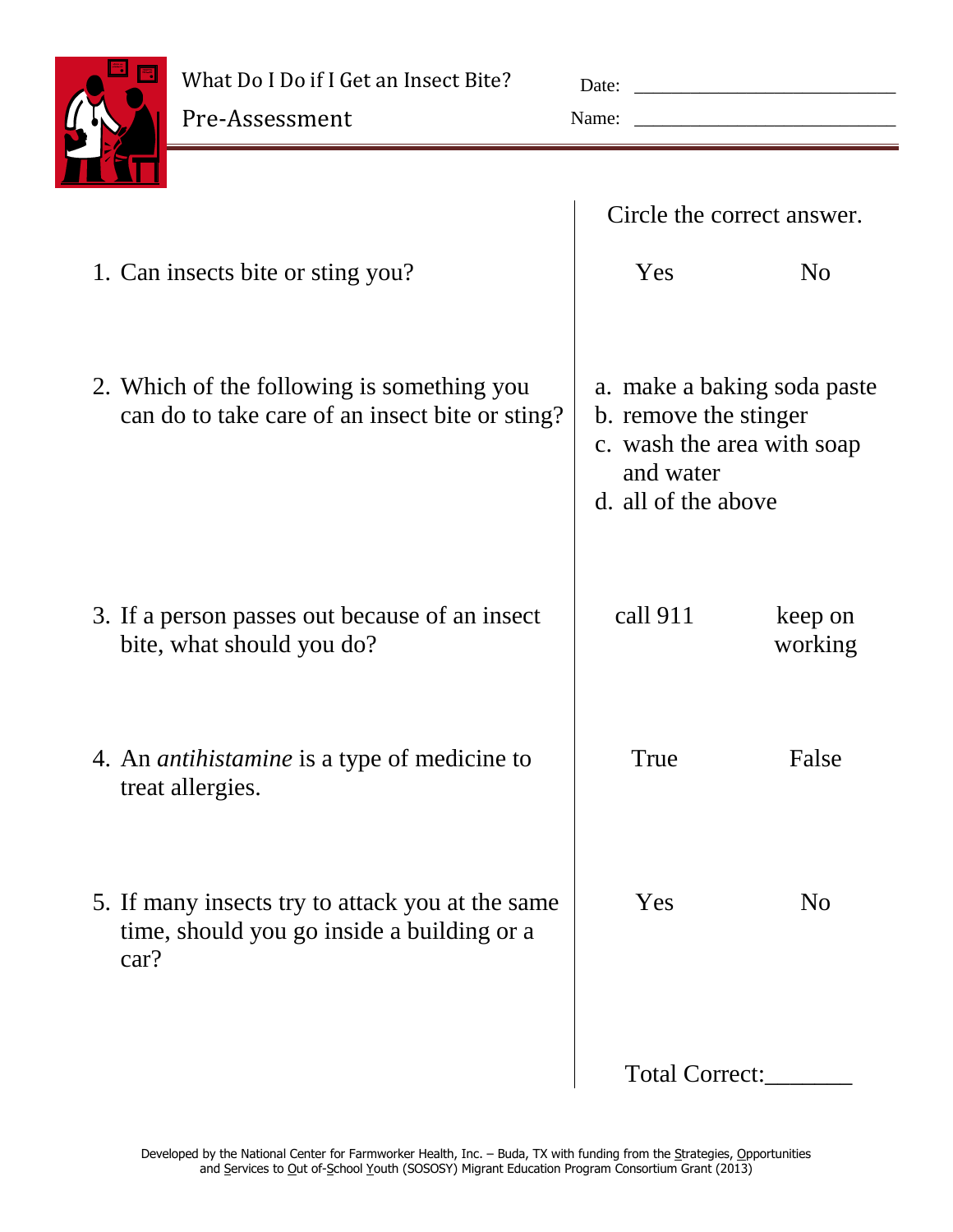What Do I Do if I Get an Insect Bite?



| Date: |  |
|-------|--|
| Name: |  |

|                                                                                                        | Circle the correct answer.                                                              |                             |
|--------------------------------------------------------------------------------------------------------|-----------------------------------------------------------------------------------------|-----------------------------|
| 1. Can insects bite or sting you?                                                                      | Yes                                                                                     | N <sub>0</sub>              |
| 2. Which of the following is something you<br>can do to take care of an insect bite or sting?          | b. remove the stinger<br>c. wash the area with soap<br>and water<br>d. all of the above | a. make a baking soda paste |
| 3. If a person passes out because of an insect<br>bite, what should you do?                            | call 911                                                                                | keep on<br>working          |
| 4. An <i>antihistamine</i> is a type of medicine to<br>treat allergies.                                | True                                                                                    | False                       |
| 5. If many insects try to attack you at the same<br>time, should you go inside a building or a<br>car? | Yes                                                                                     | N <sub>o</sub>              |
|                                                                                                        | Total Correct:                                                                          |                             |